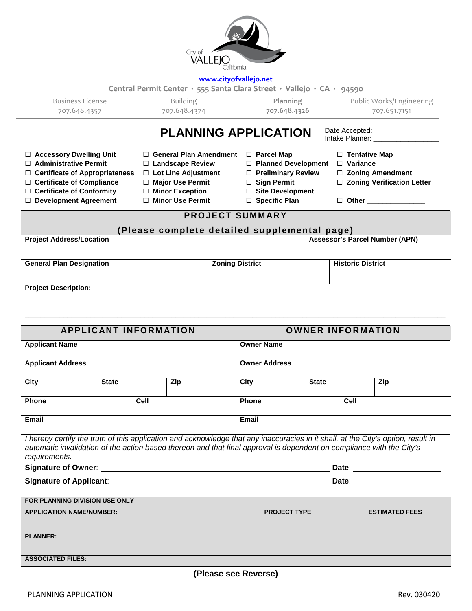

## **[www.cityofvallejo.net](http://www.cityofvallejo.net/)**

**Central Permit Center ∙ 555 Santa Clara Street ∙ Vallejo ∙ CA ∙ 94590**

Business License 707.648.4357

Building 707.648.4374

**Planning 707.648.4326** Public Works/Engineering 707.651.7151

## PLANNING APPLICATION Date Accepted: ☐ **Accessory Dwelling Unit** ☐ **General Plan Amendment** ☐ **Parcel Map** ☐ **Tentative Map** ☐ **Administrative Permit** ☐ **Landscape Review** ☐ **Planned Development** ☐ **Variance** ☐ **Certificate of Appropriateness** ☐ **Lot Line Adjustment** ☐ **Preliminary Review** ☐ **Zoning Amendment** ☐ **Certificate of Compliance** ☐ **Major Use Permit** ☐ **Sign Permit** ☐ **Zoning Verification Letter** ☐ **Certificate of Conformity** ☐ **Minor Exception** ☐ **Site Development** ☐ **Development Agreement** ☐ **Minor Use Permit** ☐ **Specific Plan** ☐ **Other \_\_\_\_\_\_\_\_\_\_\_\_\_\_\_ PROJECT SUMMARY (Please complete detailed supplemental page) Project Address/Location Assessor's Parcel Number (APN) General Plan Designation Coning District Historic District Historic District Project Description: \_\_\_\_\_\_\_\_\_\_\_\_\_\_\_\_\_\_\_\_\_\_\_\_\_\_\_\_\_\_\_\_\_\_\_\_\_\_\_\_\_\_\_\_\_\_\_\_\_\_\_\_\_\_\_\_\_\_\_\_\_\_\_\_\_\_\_\_\_\_\_\_\_\_\_\_\_\_\_\_\_\_\_\_\_\_\_\_\_\_\_\_\_\_\_\_\_\_\_\_\_\_\_\_\_\_\_\_\_ \_\_\_\_\_\_\_\_\_\_\_\_\_\_\_\_\_\_\_\_\_\_\_\_\_\_\_\_\_\_\_\_\_\_\_\_\_\_\_\_\_\_\_\_\_\_\_\_\_\_\_\_\_\_\_\_\_\_\_\_\_\_\_\_\_\_\_\_\_\_\_\_\_\_\_\_\_\_\_\_\_\_\_\_\_\_\_\_\_\_\_\_\_\_\_\_\_\_\_\_\_\_\_\_\_\_\_\_\_ \_\_\_\_\_\_\_\_\_\_\_\_\_\_\_\_\_\_\_\_\_\_\_\_\_\_\_\_\_\_\_\_\_\_\_\_\_\_\_\_\_\_\_\_\_\_\_\_\_\_\_\_\_\_\_\_\_\_\_\_\_\_\_\_\_\_\_\_\_\_\_\_\_\_\_\_\_\_\_\_\_\_\_\_\_\_\_\_\_\_\_\_\_\_\_\_\_\_\_\_\_\_\_\_\_\_\_\_\_**

| <b>APPLICANT INFORMATION</b>                      |                                |                                                                                                                                                                                                                                                            |                                 | <b>OWNER INFORMATION</b> |      |                       |  |
|---------------------------------------------------|--------------------------------|------------------------------------------------------------------------------------------------------------------------------------------------------------------------------------------------------------------------------------------------------------|---------------------------------|--------------------------|------|-----------------------|--|
| <b>Applicant Name</b><br><b>Applicant Address</b> |                                |                                                                                                                                                                                                                                                            |                                 | <b>Owner Name</b>        |      |                       |  |
|                                                   |                                |                                                                                                                                                                                                                                                            | <b>Owner Address</b>            |                          |      |                       |  |
| City                                              | <b>State</b>                   | Zip                                                                                                                                                                                                                                                        | City                            | <b>State</b>             |      | Zip                   |  |
| <b>Phone</b>                                      |                                | Cell                                                                                                                                                                                                                                                       | <b>Phone</b>                    |                          | Cell |                       |  |
| Email                                             |                                |                                                                                                                                                                                                                                                            | Email                           |                          |      |                       |  |
| requirements.                                     |                                | I hereby certify the truth of this application and acknowledge that any inaccuracies in it shall, at the City's option, result in<br>automatic invalidation of the action based thereon and that final approval is dependent on compliance with the City's |                                 |                          |      |                       |  |
|                                                   |                                |                                                                                                                                                                                                                                                            |                                 |                          |      |                       |  |
|                                                   |                                |                                                                                                                                                                                                                                                            | Date: _________________________ |                          |      |                       |  |
|                                                   | FOR PLANNING DIVISION USE ONLY |                                                                                                                                                                                                                                                            |                                 |                          |      |                       |  |
| <b>APPLICATION NAME/NUMBER:</b>                   |                                |                                                                                                                                                                                                                                                            |                                 | <b>PROJECT TYPE</b>      |      | <b>ESTIMATED FEES</b> |  |
|                                                   |                                |                                                                                                                                                                                                                                                            |                                 |                          |      |                       |  |
| <b>PLANNER:</b>                                   |                                |                                                                                                                                                                                                                                                            |                                 |                          |      |                       |  |
|                                                   |                                |                                                                                                                                                                                                                                                            |                                 |                          |      |                       |  |
| <b>ASSOCIATED FILES:</b>                          |                                |                                                                                                                                                                                                                                                            |                                 |                          |      |                       |  |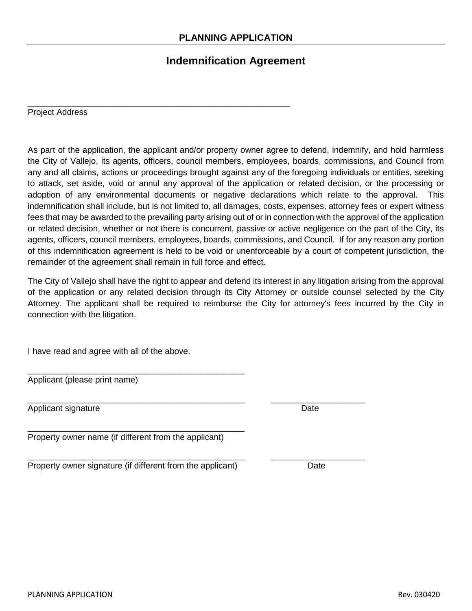\_\_\_\_\_\_\_\_\_\_\_\_\_\_\_\_\_\_\_\_\_\_\_\_\_\_\_\_\_\_\_\_\_\_\_\_\_\_\_\_\_\_\_\_\_\_\_\_\_\_\_

## **Indemnification Agreement**

Project Address

As part of the application, the applicant and/or property owner agree to defend, indemnify, and hold harmless the City of Vallejo, its agents, officers, council members, employees, boards, commissions, and Council from any and all claims, actions or proceedings brought against any of the foregoing individuals or entities, seeking to attack, set aside, void or annul any approval of the application or related decision, or the processing or adoption of any environmental documents or negative declarations which relate to the approval. This indemnification shall include, but is not limited to, all damages, costs, expenses, attorney fees or expert witness fees that may be awarded to the prevailing party arising out of or in connection with the approval of the application or related decision, whether or not there is concurrent, passive or active negligence on the part of the City, its agents, officers, council members, employees, boards, commissions, and Council. If for any reason any portion of this indemnification agreement is held to be void or unenforceable by a court of competent jurisdiction, the remainder of the agreement shall remain in full force and effect.

The City of Vallejo shall have the right to appear and defend its interest in any litigation arising from the approval of the application or any related decision through its City Attorney or outside counsel selected by the City Attorney. The applicant shall be required to reimburse the City for attorney's fees incurred by the City in connection with the litigation.

I have read and agree with all of the above.

| Applicant (please print name) |  |
|-------------------------------|--|

\_\_\_\_\_\_\_\_\_\_\_\_\_\_\_\_\_\_\_\_\_\_\_\_\_\_\_\_\_\_\_\_\_\_\_\_\_\_\_\_\_\_\_\_\_\_ \_\_\_\_\_\_\_\_\_\_\_\_\_\_\_\_\_\_\_\_ Applicant signature **Date** Date of the Date of the Date of the Date of the Date of the Date of the Date of the Date of the Date of the Date of the Date of the Date of the Date of the Date of the Date of the Date of the Dat

\_\_\_\_\_\_\_\_\_\_\_\_\_\_\_\_\_\_\_\_\_\_\_\_\_\_\_\_\_\_\_\_\_\_\_\_\_\_\_\_\_\_\_\_\_\_ Property owner name (if different from the applicant)

\_\_\_\_\_\_\_\_\_\_\_\_\_\_\_\_\_\_\_\_\_\_\_\_\_\_\_\_\_\_\_\_\_\_\_\_\_\_\_\_\_\_\_\_\_\_ \_\_\_\_\_\_\_\_\_\_\_\_\_\_\_\_\_\_\_\_ Property owner signature (if different from the applicant) Date